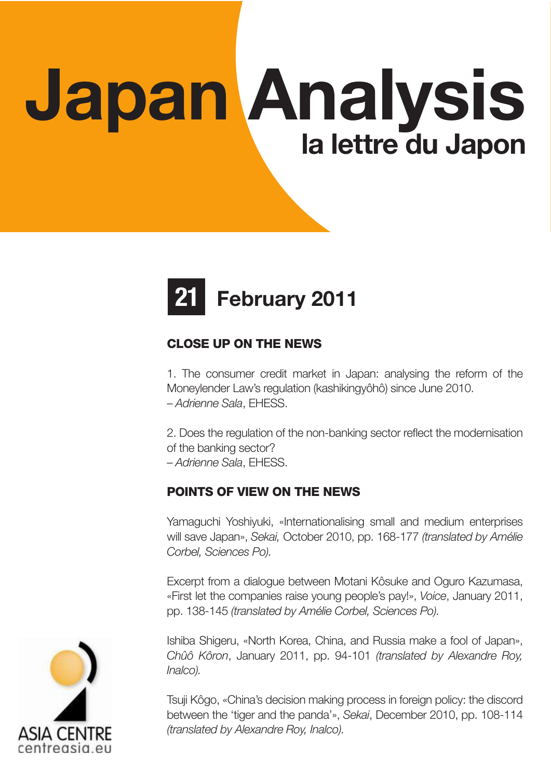# Japan Analysis la lettre du Japon



# CLOSE UP ON THE NEWS

1. The consumer credit market in Japan: analysing the reform of the Moneylender Law's regulation (kashikingyôhô) since June 2010. – Adrienne Sala, EHESS.

2. Does the regulation of the non-banking sector reflect the modernisation of the banking sector? – Adrienne Sala, EHESS.

## POINTS OF VIEW ON THE NEWS

Yamaguchi Yoshiyuki, «Internationalising small and medium enterprises will save Japan», Sekai, October 2010, pp. 168-177 (translated by Amélie Corbel, Sciences Po).

Excerpt from a dialogue between Motani Kôsuke and Oguro Kazumasa, «First let the companies raise young people's pay!», Voice, January 2011, pp. 138-145 (translated by Amélie Corbel, Sciences Po).

Ishiba Shigeru, «North Korea, China, and Russia make a fool of Japan», Chûô Kôron, January 2011, pp. 94-101 (translated by Alexandre Roy, Inalco).

Tsuji Kôgo, «China's decision making process in foreign policy: the discord between the 'tiger and the panda'», Sekai, December 2010, pp. 108-114 (translated by Alexandre Roy, Inalco).

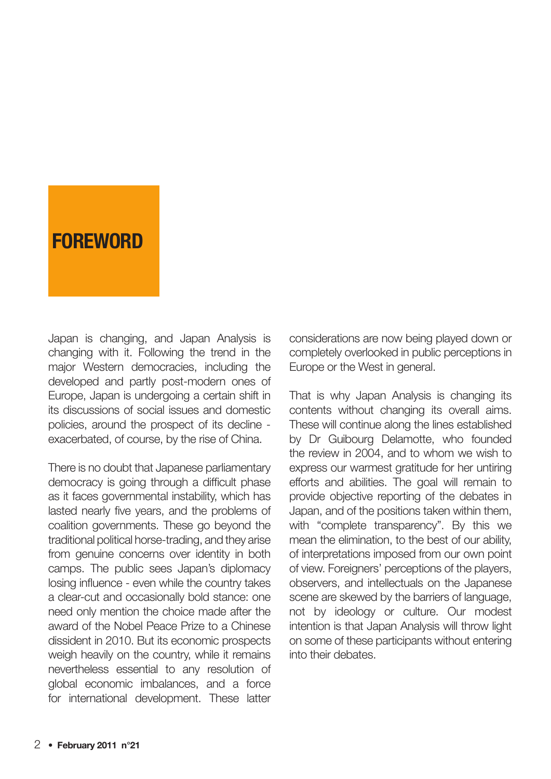# **FOREWORD**

Japan is changing, and Japan Analysis is changing with it. Following the trend in the major Western democracies, including the developed and partly post-modern ones of Europe, Japan is undergoing a certain shift in its discussions of social issues and domestic policies, around the prospect of its decline exacerbated, of course, by the rise of China.

There is no doubt that Japanese parliamentary democracy is going through a difficult phase as it faces governmental instability, which has lasted nearly five years, and the problems of coalition governments. These go beyond the traditional political horse-trading, and they arise from genuine concerns over identity in both camps. The public sees Japan's diplomacy losing influence - even while the country takes a clear-cut and occasionally bold stance: one need only mention the choice made after the award of the Nobel Peace Prize to a Chinese dissident in 2010. But its economic prospects weigh heavily on the country, while it remains nevertheless essential to any resolution of global economic imbalances, and a force for international development. These latter

considerations are now being played down or completely overlooked in public perceptions in Europe or the West in general.

That is why Japan Analysis is changing its contents without changing its overall aims. These will continue along the lines established by Dr Guibourg Delamotte, who founded the review in 2004, and to whom we wish to express our warmest gratitude for her untiring efforts and abilities. The goal will remain to provide objective reporting of the debates in Japan, and of the positions taken within them, with "complete transparency". By this we mean the elimination, to the best of our ability, of interpretations imposed from our own point of view. Foreigners' perceptions of the players, observers, and intellectuals on the Japanese scene are skewed by the barriers of language, not by ideology or culture. Our modest intention is that Japan Analysis will throw light on some of these participants without entering into their debates.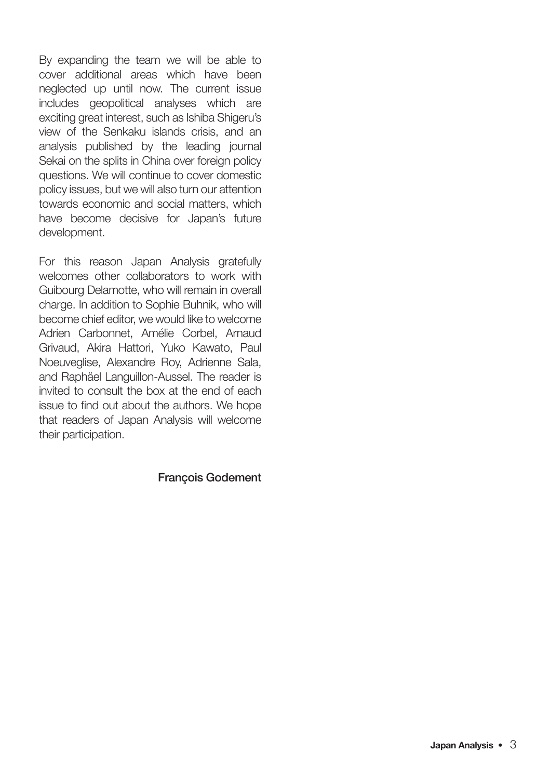By expanding the team we will be able to cover additional areas which have been neglected up until now. The current issue includes geopolitical analyses which are exciting great interest, such as Ishiba Shigeru's view of the Senkaku islands crisis, and an analysis published by the leading journal Sekai on the splits in China over foreign policy questions. We will continue to cover domestic policy issues, but we will also turn our attention towards economic and social matters, which have become decisive for Japan's future development.

For this reason Japan Analysis gratefully welcomes other collaborators to work with Guibourg Delamotte, who will remain in overall charge. In addition to Sophie Buhnik, who will become chief editor, we would like to welcome Adrien Carbonnet, Amélie Corbel, Arnaud Grivaud, Akira Hattori, Yuko Kawato, Paul Noeuveglise, Alexandre Roy, Adrienne Sala, and Raphäel Languillon-Aussel. The reader is invited to consult the box at the end of each issue to find out about the authors. We hope that readers of Japan Analysis will welcome their participation.

#### François Godement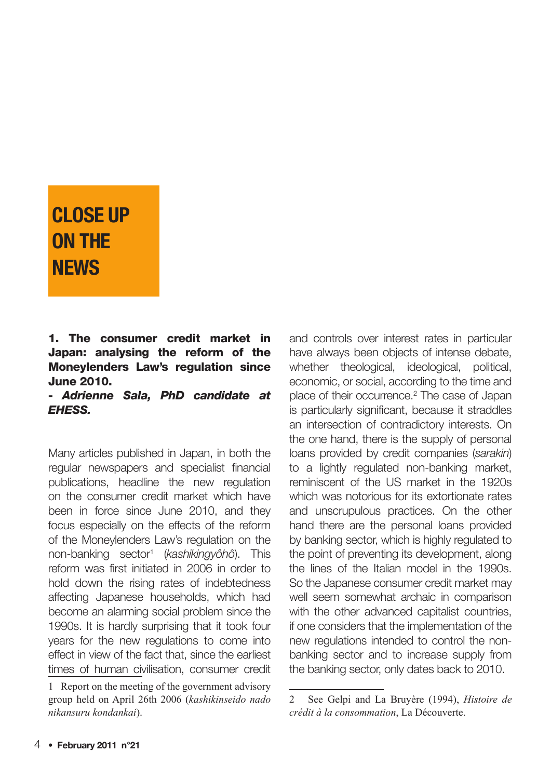# CLOSE UP ON THE **NFWS**

#### 1. The consumer credit market in Japan: analysing the reform of the Moneylenders Law's regulation since June 2010.

- Adrienne Sala, PhD candidate at EHESS.

Many articles published in Japan, in both the regular newspapers and specialist financial publications, headline the new regulation on the consumer credit market which have been in force since June 2010, and they focus especially on the effects of the reform of the Moneylenders Law's regulation on the non-banking sector<sup>1</sup> (kashikingyôhô). This reform was first initiated in 2006 in order to hold down the rising rates of indebtedness affecting Japanese households, which had become an alarming social problem since the 1990s. It is hardly surprising that it took four years for the new regulations to come into effect in view of the fact that, since the earliest times of human civilisation, consumer credit

and controls over interest rates in particular have always been objects of intense debate, whether theological, ideological, political, economic, or social, according to the time and place of their occurrence.2 The case of Japan is particularly significant, because it straddles an intersection of contradictory interests. On the one hand, there is the supply of personal loans provided by credit companies (sarakin) to a lightly regulated non-banking market, reminiscent of the US market in the 1920s which was notorious for its extortionate rates and unscrupulous practices. On the other hand there are the personal loans provided by banking sector, which is highly regulated to the point of preventing its development, along the lines of the Italian model in the 1990s. So the Japanese consumer credit market may well seem somewhat archaic in comparison with the other advanced capitalist countries. if one considers that the implementation of the new regulations intended to control the nonbanking sector and to increase supply from the banking sector, only dates back to 2010.

<sup>1</sup> Report on the meeting of the government advisory group held on April 26th 2006 (*kashikinseido nado nikansuru kondankai*).

<sup>2</sup> See Gelpi and La Bruyère (1994), *Histoire de crédit à la consommation*, La Découverte.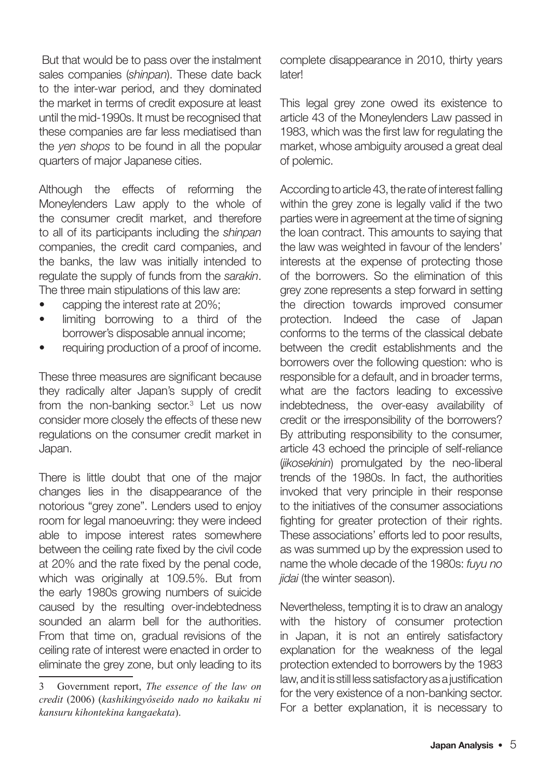But that would be to pass over the instalment sales companies (shinpan). These date back to the inter-war period, and they dominated the market in terms of credit exposure at least until the mid-1990s. It must be recognised that these companies are far less mediatised than the yen shops to be found in all the popular quarters of major Japanese cities.

Although the effects of reforming the Moneylenders Law apply to the whole of the consumer credit market, and therefore to all of its participants including the shinpan companies, the credit card companies, and the banks, the law was initially intended to regulate the supply of funds from the sarakin. The three main stipulations of this law are:

- capping the interest rate at 20%;
- limiting borrowing to a third of the borrower's disposable annual income;
- requiring production of a proof of income.

These three measures are significant because they radically alter Japan's supply of credit from the non-banking sector.<sup>3</sup> Let us now consider more closely the effects of these new regulations on the consumer credit market in Japan.

There is little doubt that one of the major changes lies in the disappearance of the notorious "grey zone". Lenders used to enjoy room for legal manoeuvring: they were indeed able to impose interest rates somewhere between the ceiling rate fixed by the civil code at 20% and the rate fixed by the penal code, which was originally at 109.5%. But from the early 1980s growing numbers of suicide caused by the resulting over-indebtedness sounded an alarm bell for the authorities. From that time on, gradual revisions of the ceiling rate of interest were enacted in order to eliminate the grey zone, but only leading to its

complete disappearance in 2010, thirty years **later!** 

This legal grey zone owed its existence to article 43 of the Moneylenders Law passed in 1983, which was the first law for regulating the market, whose ambiguity aroused a great deal of polemic.

According to article 43, the rate of interest falling within the grey zone is legally valid if the two parties were in agreement at the time of signing the loan contract. This amounts to saying that the law was weighted in favour of the lenders' interests at the expense of protecting those of the borrowers. So the elimination of this grey zone represents a step forward in setting the direction towards improved consumer protection. Indeed the case of Japan conforms to the terms of the classical debate between the credit establishments and the borrowers over the following question: who is responsible for a default, and in broader terms, what are the factors leading to excessive indebtedness, the over-easy availability of credit or the irresponsibility of the borrowers? By attributing responsibility to the consumer, article 43 echoed the principle of self-reliance (jikosekinin) promulgated by the neo-liberal trends of the 1980s. In fact, the authorities invoked that very principle in their response to the initiatives of the consumer associations fighting for greater protection of their rights. These associations' efforts led to poor results, as was summed up by the expression used to name the whole decade of the 1980s: fuyu no jidai (the winter season).

Nevertheless, tempting it is to draw an analogy with the history of consumer protection in Japan, it is not an entirely satisfactory explanation for the weakness of the legal protection extended to borrowers by the 1983 law, and it is still less satisfactory as a justification for the very existence of a non-banking sector. For a better explanation, it is necessary to

<sup>3</sup> Government report, *The essence of the law on credit* (2006) (*kashikingyôseido nado no kaikaku ni kansuru kihontekina kangaekata*).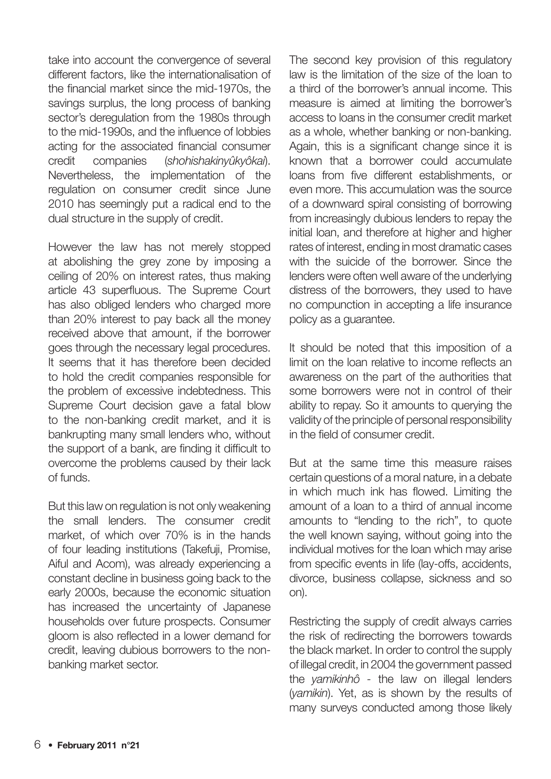take into account the convergence of several different factors, like the internationalisation of the financial market since the mid-1970s, the savings surplus, the long process of banking sector's deregulation from the 1980s through to the mid-1990s, and the influence of lobbies acting for the associated financial consumer credit companies (shohishakinyûkyôkai). Nevertheless, the implementation of the regulation on consumer credit since June 2010 has seemingly put a radical end to the dual structure in the supply of credit.

However the law has not merely stopped at abolishing the grey zone by imposing a ceiling of 20% on interest rates, thus making article 43 superfluous. The Supreme Court has also obliged lenders who charged more than 20% interest to pay back all the money received above that amount, if the borrower goes through the necessary legal procedures. It seems that it has therefore been decided to hold the credit companies responsible for the problem of excessive indebtedness. This Supreme Court decision gave a fatal blow to the non-banking credit market, and it is bankrupting many small lenders who, without the support of a bank, are finding it difficult to overcome the problems caused by their lack of funds.

But this law on regulation is not only weakening the small lenders. The consumer credit market, of which over 70% is in the hands of four leading institutions (Takefuji, Promise, Aiful and Acom), was already experiencing a constant decline in business going back to the early 2000s, because the economic situation has increased the uncertainty of Japanese households over future prospects. Consumer gloom is also reflected in a lower demand for credit, leaving dubious borrowers to the nonbanking market sector.

The second key provision of this regulatory law is the limitation of the size of the loan to a third of the borrower's annual income. This measure is aimed at limiting the borrower's access to loans in the consumer credit market as a whole, whether banking or non-banking. Again, this is a significant change since it is known that a borrower could accumulate loans from five different establishments, or even more. This accumulation was the source of a downward spiral consisting of borrowing from increasingly dubious lenders to repay the initial loan, and therefore at higher and higher rates of interest, ending in most dramatic cases with the suicide of the borrower. Since the lenders were often well aware of the underlying distress of the borrowers, they used to have no compunction in accepting a life insurance policy as a guarantee.

It should be noted that this imposition of a limit on the loan relative to income reflects an awareness on the part of the authorities that some borrowers were not in control of their ability to repay. So it amounts to querying the validity of the principle of personal responsibility in the field of consumer credit.

But at the same time this measure raises certain questions of a moral nature, in a debate in which much ink has flowed. Limiting the amount of a loan to a third of annual income amounts to "lending to the rich", to quote the well known saying, without going into the individual motives for the loan which may arise from specific events in life (lay-offs, accidents, divorce, business collapse, sickness and so on).

Restricting the supply of credit always carries the risk of redirecting the borrowers towards the black market. In order to control the supply of illegal credit, in 2004 the government passed the vamikinhô - the law on illegal lenders (yamikin). Yet, as is shown by the results of many surveys conducted among those likely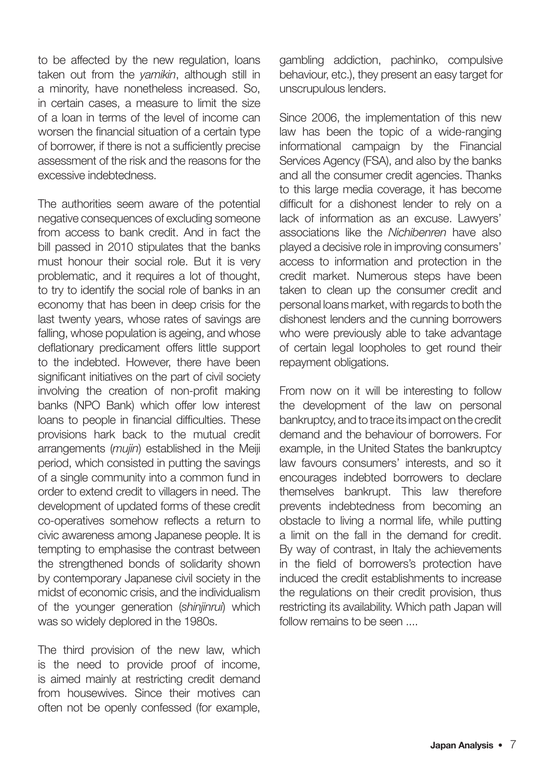to be affected by the new regulation, loans taken out from the vamikin, although still in a minority, have nonetheless increased. So, in certain cases, a measure to limit the size of a loan in terms of the level of income can worsen the financial situation of a certain type of borrower, if there is not a sufficiently precise assessment of the risk and the reasons for the excessive indebtedness.

The authorities seem aware of the potential negative consequences of excluding someone from access to bank credit. And in fact the bill passed in 2010 stipulates that the banks must honour their social role. But it is very problematic, and it requires a lot of thought, to try to identify the social role of banks in an economy that has been in deep crisis for the last twenty years, whose rates of savings are falling, whose population is ageing, and whose deflationary predicament offers little support to the indebted. However, there have been significant initiatives on the part of civil society involving the creation of non-profit making banks (NPO Bank) which offer low interest loans to people in financial difficulties. These provisions hark back to the mutual credit arrangements (mujin) established in the Meiji period, which consisted in putting the savings of a single community into a common fund in order to extend credit to villagers in need. The development of updated forms of these credit co-operatives somehow reflects a return to civic awareness among Japanese people. It is tempting to emphasise the contrast between the strengthened bonds of solidarity shown by contemporary Japanese civil society in the midst of economic crisis, and the individualism of the younger generation (shinjinrui) which was so widely deplored in the 1980s.

The third provision of the new law, which is the need to provide proof of income, is aimed mainly at restricting credit demand from housewives. Since their motives can often not be openly confessed (for example,

gambling addiction, pachinko, compulsive behaviour, etc.), they present an easy target for unscrupulous lenders.

Since 2006, the implementation of this new law has been the topic of a wide-ranging informational campaign by the Financial Services Agency (FSA), and also by the banks and all the consumer credit agencies. Thanks to this large media coverage, it has become difficult for a dishonest lender to rely on a lack of information as an excuse. Lawyers' associations like the Nichibenren have also played a decisive role in improving consumers' access to information and protection in the credit market. Numerous steps have been taken to clean up the consumer credit and personal loans market, with regards to both the dishonest lenders and the cunning borrowers who were previously able to take advantage of certain legal loopholes to get round their repayment obligations.

From now on it will be interesting to follow the development of the law on personal bankruptcy, and to trace its impact on the credit demand and the behaviour of borrowers. For example, in the United States the bankruptcy law favours consumers' interests, and so it encourages indebted borrowers to declare themselves bankrupt. This law therefore prevents indebtedness from becoming an obstacle to living a normal life, while putting a limit on the fall in the demand for credit. By way of contrast, in Italy the achievements in the field of borrowers's protection have induced the credit establishments to increase the regulations on their credit provision, thus restricting its availability. Which path Japan will follow remains to be seen ....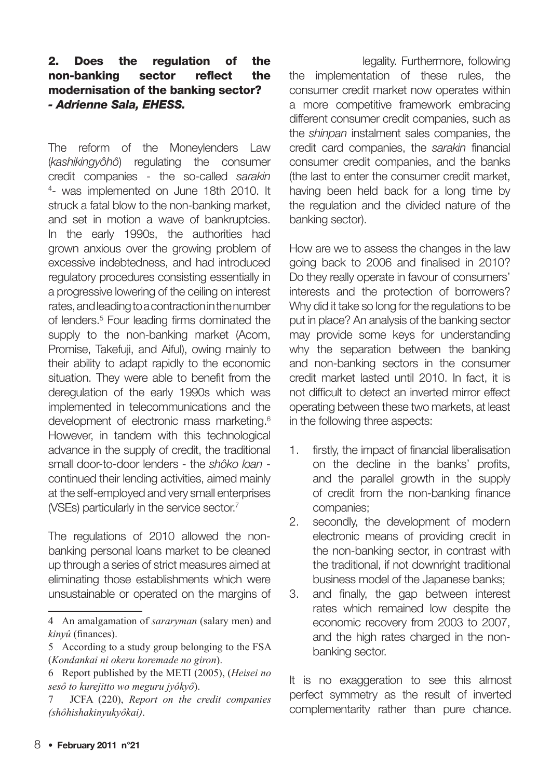#### 2. Does the regulation of the non-banking sector reflect the modernisation of the banking sector? - Adrienne Sala, EHESS.

The reform of the Moneylenders Law (kashikingyôhô) regulating the consumer credit companies - the so-called sarakin 4 - was implemented on June 18th 2010. It struck a fatal blow to the non-banking market, and set in motion a wave of bankruptcies. In the early 1990s, the authorities had grown anxious over the growing problem of excessive indebtedness, and had introduced regulatory procedures consisting essentially in a progressive lowering of the ceiling on interest rates, and leading to a contraction in the number of lenders.<sup>5</sup> Four leading firms dominated the supply to the non-banking market (Acom. Promise, Takefuji, and Aiful), owing mainly to their ability to adapt rapidly to the economic situation. They were able to benefit from the deregulation of the early 1990s which was implemented in telecommunications and the development of electronic mass marketing.<sup>6</sup> However, in tandem with this technological advance in the supply of credit, the traditional small door-to-door lenders - the shôko loan continued their lending activities, aimed mainly at the self-employed and very small enterprises (VSEs) particularly in the service sector.<sup>7</sup>

The regulations of 2010 allowed the nonbanking personal loans market to be cleaned up through a series of strict measures aimed at eliminating those establishments which were unsustainable or operated on the margins of

legality. Furthermore, following the implementation of these rules, the consumer credit market now operates within a more competitive framework embracing different consumer credit companies, such as the shinpan instalment sales companies, the credit card companies, the sarakin financial consumer credit companies, and the banks (the last to enter the consumer credit market, having been held back for a long time by the regulation and the divided nature of the banking sector).

How are we to assess the changes in the law going back to 2006 and finalised in 2010? Do they really operate in favour of consumers' interests and the protection of borrowers? Why did it take so long for the regulations to be put in place? An analysis of the banking sector may provide some keys for understanding why the separation between the banking and non-banking sectors in the consumer credit market lasted until 2010. In fact, it is not difficult to detect an inverted mirror effect operating between these two markets, at least in the following three aspects:

- 1. firstly, the impact of financial liberalisation on the decline in the banks' profits, and the parallel growth in the supply of credit from the non-banking finance companies;
- 2. secondly, the development of modern electronic means of providing credit in the non-banking sector, in contrast with the traditional, if not downright traditional business model of the Japanese banks;
- 3. and finally, the gap between interest rates which remained low despite the economic recovery from 2003 to 2007, and the high rates charged in the nonbanking sector.

It is no exaggeration to see this almost perfect symmetry as the result of inverted complementarity rather than pure chance.

<sup>4</sup> An amalgamation of *sararyman* (salary men) and *kinyû* (finances).

<sup>5</sup> According to a study group belonging to the FSA (*Kondankai ni okeru koremade no giron*).

<sup>6</sup> Report published by the METI (2005), (*Heisei no sesô to kurejitto wo meguru jyôkyô*).

<sup>7</sup> JCFA (220), *Report on the credit companies (shôhishakinyukyôkai)*.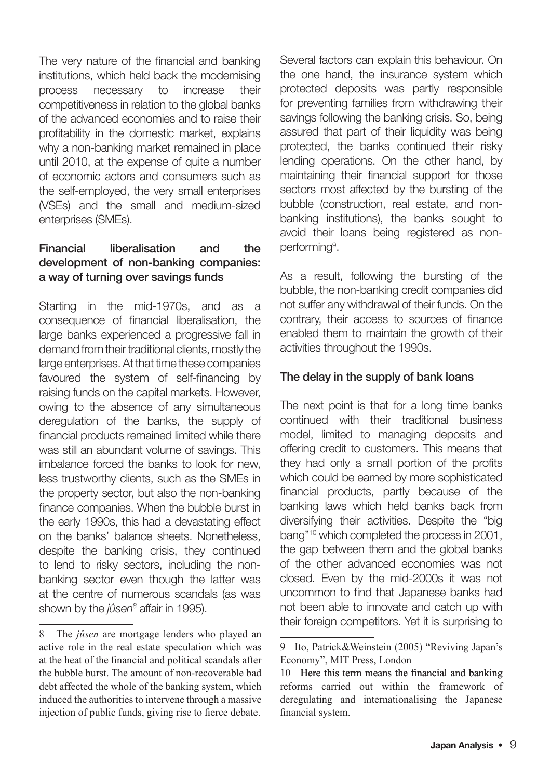The very nature of the financial and banking institutions, which held back the modernising process necessary to increase their competitiveness in relation to the global banks of the advanced economies and to raise their profitability in the domestic market, explains why a non-banking market remained in place until 2010, at the expense of quite a number of economic actors and consumers such as the self-employed, the very small enterprises (VSEs) and the small and medium-sized enterprises (SMEs).

#### Financial liberalisation and the development of non-banking companies: a way of turning over savings funds

Starting in the mid-1970s, and as a consequence of financial liberalisation, the large banks experienced a progressive fall in demand from their traditional clients, mostly the large enterprises. At that time these companies favoured the system of self-financing by raising funds on the capital markets. However, owing to the absence of any simultaneous deregulation of the banks, the supply of financial products remained limited while there was still an abundant volume of savings. This imbalance forced the banks to look for new, less trustworthy clients, such as the SMEs in the property sector, but also the non-banking finance companies. When the bubble burst in the early 1990s, this had a devastating effect on the banks' balance sheets. Nonetheless, despite the banking crisis, they continued to lend to risky sectors, including the nonbanking sector even though the latter was at the centre of numerous scandals (as was shown by the *jûsen<sup>s</sup> affair in 1995*).

Several factors can explain this behaviour. On the one hand, the insurance system which protected deposits was partly responsible for preventing families from withdrawing their savings following the banking crisis. So, being assured that part of their liquidity was being protected, the banks continued their risky lending operations. On the other hand, by maintaining their financial support for those sectors most affected by the bursting of the bubble (construction, real estate, and nonbanking institutions), the banks sought to avoid their loans being registered as nonperforming<sup>9</sup>.

As a result, following the bursting of the bubble, the non-banking credit companies did not suffer any withdrawal of their funds. On the contrary, their access to sources of finance enabled them to maintain the growth of their activities throughout the 1990s.

#### The delay in the supply of bank loans

The next point is that for a long time banks continued with their traditional business model, limited to managing deposits and offering credit to customers. This means that they had only a small portion of the profits which could be earned by more sophisticated financial products, partly because of the banking laws which held banks back from diversifying their activities. Despite the "big bang"10 which completed the process in 2001, the gap between them and the global banks of the other advanced economies was not closed. Even by the mid-2000s it was not uncommon to find that Japanese banks had not been able to innovate and catch up with their foreign competitors. Yet it is surprising to

<sup>8</sup> The *jûsen* are mortgage lenders who played an active role in the real estate speculation which was at the heat of the financial and political scandals after the bubble burst. The amount of non-recoverable bad debt affected the whole of the banking system, which induced the authorities to intervene through a massive injection of public funds, giving rise to fierce debate.

<sup>9</sup> Ito, Patrick&Weinstein (2005) "Reviving Japan's Economy", MIT Press, London

<sup>10</sup> Here this term means the financial and banking reforms carried out within the framework of deregulating and internationalising the Japanese financial system.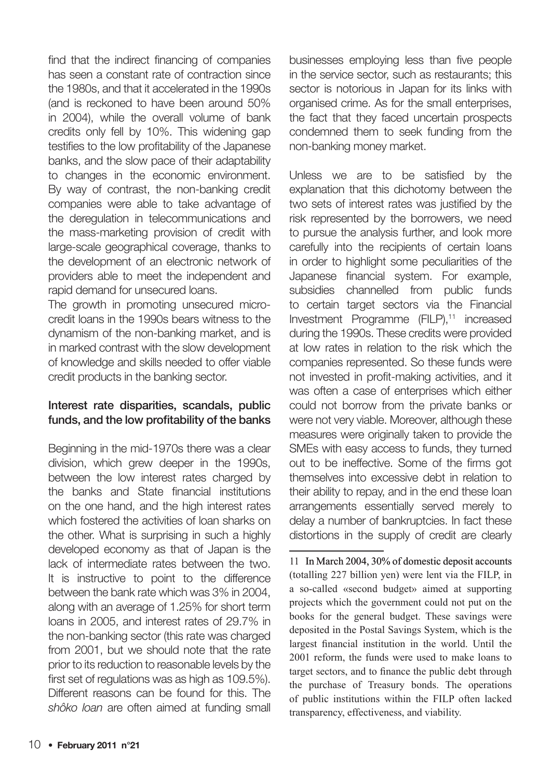find that the indirect financing of companies has seen a constant rate of contraction since the 1980s, and that it accelerated in the 1990s (and is reckoned to have been around 50% in 2004), while the overall volume of bank credits only fell by 10%. This widening gap testifies to the low profitability of the Japanese banks, and the slow pace of their adaptability to changes in the economic environment. By way of contrast, the non-banking credit companies were able to take advantage of the deregulation in telecommunications and the mass-marketing provision of credit with large-scale geographical coverage, thanks to the development of an electronic network of providers able to meet the independent and rapid demand for unsecured loans.

The growth in promoting unsecured microcredit loans in the 1990s bears witness to the dynamism of the non-banking market, and is in marked contrast with the slow development of knowledge and skills needed to offer viable credit products in the banking sector.

#### Interest rate disparities, scandals, public funds, and the low profitability of the banks

Beginning in the mid-1970s there was a clear division, which grew deeper in the 1990s, between the low interest rates charged by the banks and State financial institutions on the one hand, and the high interest rates which fostered the activities of loan sharks on the other. What is surprising in such a highly developed economy as that of Japan is the lack of intermediate rates between the two. It is instructive to point to the difference between the bank rate which was 3% in 2004, along with an average of 1.25% for short term loans in 2005, and interest rates of 29.7% in the non-banking sector (this rate was charged from 2001, but we should note that the rate prior to its reduction to reasonable levels by the first set of regulations was as high as 109.5%). Different reasons can be found for this. The shôko loan are often aimed at funding small businesses employing less than five people in the service sector, such as restaurants; this sector is notorious in Japan for its links with organised crime. As for the small enterprises, the fact that they faced uncertain prospects condemned them to seek funding from the non-banking money market.

Unless we are to be satisfied by the explanation that this dichotomy between the two sets of interest rates was justified by the risk represented by the borrowers, we need to pursue the analysis further, and look more carefully into the recipients of certain loans in order to highlight some peculiarities of the Japanese financial system. For example, subsidies channelled from public funds to certain target sectors via the Financial Investment Programme (FILP),<sup>11</sup> increased during the 1990s. These credits were provided at low rates in relation to the risk which the companies represented. So these funds were not invested in profit-making activities, and it was often a case of enterprises which either could not borrow from the private banks or were not very viable. Moreover, although these measures were originally taken to provide the SMEs with easy access to funds, they turned out to be ineffective. Some of the firms got themselves into excessive debt in relation to their ability to repay, and in the end these loan arrangements essentially served merely to delay a number of bankruptcies. In fact these distortions in the supply of credit are clearly

11 In March 2004, 30% of domestic deposit accounts (totalling 227 billion yen) were lent via the FILP, in a so-called «second budget» aimed at supporting projects which the government could not put on the books for the general budget. These savings were deposited in the Postal Savings System, which is the largest financial institution in the world. Until the 2001 reform, the funds were used to make loans to target sectors, and to finance the public debt through the purchase of Treasury bonds. The operations of public institutions within the FILP often lacked transparency, effectiveness, and viability.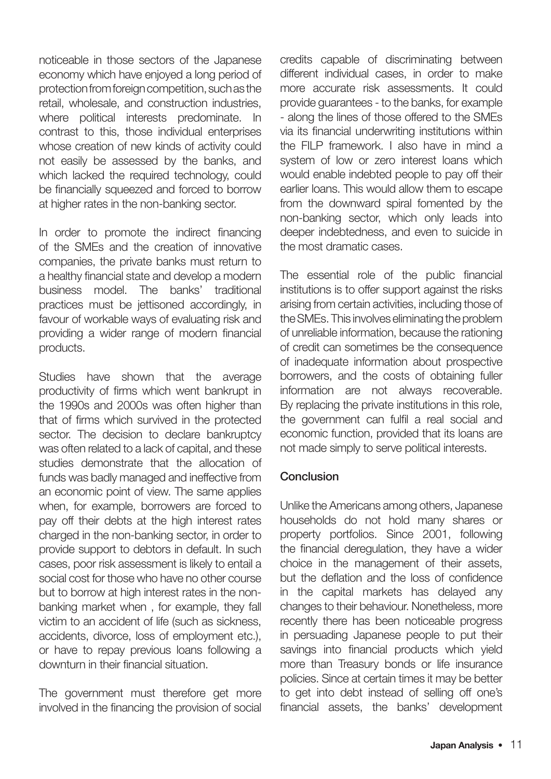noticeable in those sectors of the Japanese economy which have enjoyed a long period of protection from foreign competition, such as the retail, wholesale, and construction industries, where political interests predominate. In contrast to this, those individual enterprises whose creation of new kinds of activity could not easily be assessed by the banks, and which lacked the required technology, could be financially squeezed and forced to borrow at higher rates in the non-banking sector.

In order to promote the indirect financing of the SMEs and the creation of innovative companies, the private banks must return to a healthy financial state and develop a modern business model. The banks' traditional practices must be jettisoned accordingly, in favour of workable ways of evaluating risk and providing a wider range of modern financial products.

Studies have shown that the average productivity of firms which went bankrupt in the 1990s and 2000s was often higher than that of firms which survived in the protected sector. The decision to declare bankruptcy was often related to a lack of capital, and these studies demonstrate that the allocation of funds was badly managed and ineffective from an economic point of view. The same applies when, for example, borrowers are forced to pay off their debts at the high interest rates charged in the non-banking sector, in order to provide support to debtors in default. In such cases, poor risk assessment is likely to entail a social cost for those who have no other course but to borrow at high interest rates in the nonbanking market when , for example, they fall victim to an accident of life (such as sickness, accidents, divorce, loss of employment etc.), or have to repay previous loans following a downturn in their financial situation.

The government must therefore get more involved in the financing the provision of social

credits capable of discriminating between different individual cases, in order to make more accurate risk assessments. It could provide guarantees - to the banks, for example - along the lines of those offered to the SMEs via its financial underwriting institutions within the FILP framework. I also have in mind a system of low or zero interest loans which would enable indebted people to pay off their earlier loans. This would allow them to escape from the downward spiral fomented by the non-banking sector, which only leads into deeper indebtedness, and even to suicide in the most dramatic cases.

The essential role of the public financial institutions is to offer support against the risks arising from certain activities, including those of the SMEs. This involves eliminating the problem of unreliable information, because the rationing of credit can sometimes be the consequence of inadequate information about prospective borrowers, and the costs of obtaining fuller information are not always recoverable. By replacing the private institutions in this role, the government can fulfil a real social and economic function, provided that its loans are not made simply to serve political interests.

#### Conclusion

Unlike the Americans among others, Japanese households do not hold many shares or property portfolios. Since 2001, following the financial deregulation, they have a wider choice in the management of their assets, but the deflation and the loss of confidence in the capital markets has delayed any changes to their behaviour. Nonetheless, more recently there has been noticeable progress in persuading Japanese people to put their savings into financial products which yield more than Treasury bonds or life insurance policies. Since at certain times it may be better to get into debt instead of selling off one's financial assets, the banks' development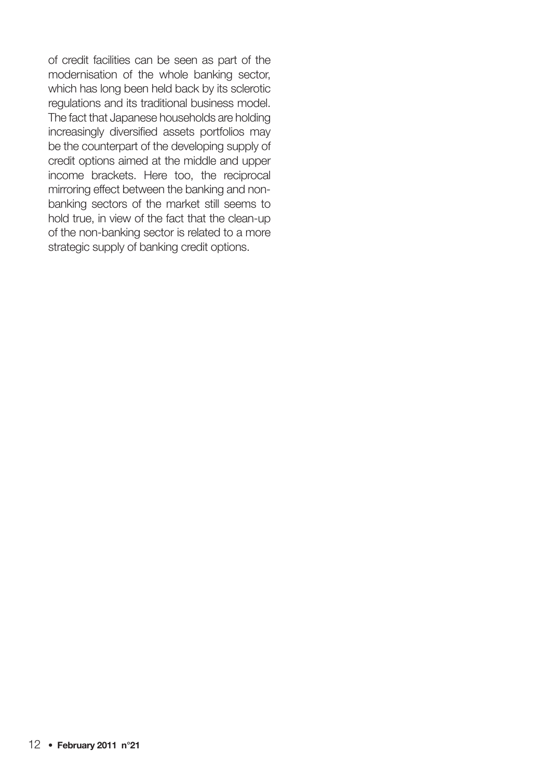of credit facilities can be seen as part of the modernisation of the whole banking sector, which has long been held back by its sclerotic regulations and its traditional business model. The fact that Japanese households are holding increasingly diversified assets portfolios may be the counterpart of the developing supply of credit options aimed at the middle and upper income brackets. Here too, the reciprocal mirroring effect between the banking and nonbanking sectors of the market still seems to hold true, in view of the fact that the clean-up of the non-banking sector is related to a more strategic supply of banking credit options.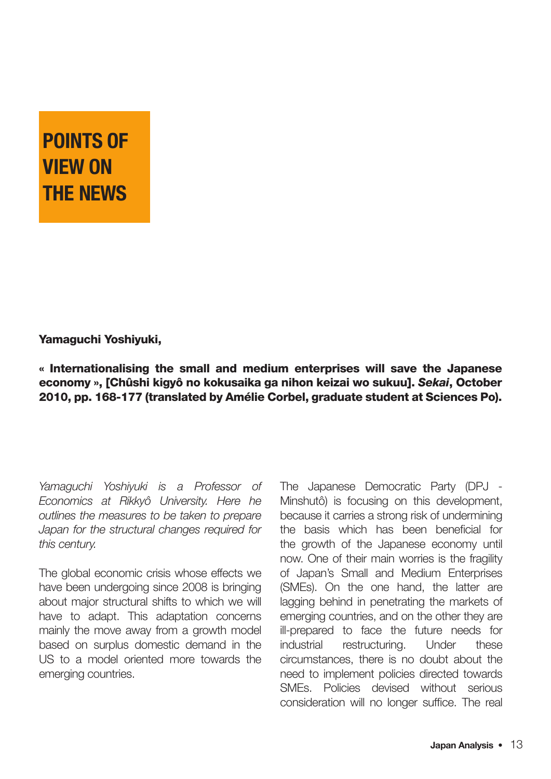# POINTS OF VIEW ON THE NEWS

#### Yamaguchi Yoshiyuki,

« Internationalising the small and medium enterprises will save the Japanese economy », [Chûshi kigyô no kokusaika ga nihon keizai wo sukuu]. Sekai, October 2010, pp. 168-177 (translated by Amélie Corbel, graduate student at Sciences Po).

Yamaguchi Yoshiyuki is a Professor of Economics at Rikkyô University. Here he outlines the measures to be taken to prepare Japan for the structural changes required for this century.

The global economic crisis whose effects we have been undergoing since 2008 is bringing about major structural shifts to which we will have to adapt. This adaptation concerns mainly the move away from a growth model based on surplus domestic demand in the US to a model oriented more towards the emerging countries.

The Japanese Democratic Party (DPJ - Minshutô) is focusing on this development, because it carries a strong risk of undermining the basis which has been beneficial for the growth of the Japanese economy until now. One of their main worries is the fragility of Japan's Small and Medium Enterprises (SMEs). On the one hand, the latter are lagging behind in penetrating the markets of emerging countries, and on the other they are ill-prepared to face the future needs for industrial restructuring. Under these circumstances, there is no doubt about the need to implement policies directed towards SMEs. Policies devised without serious consideration will no longer suffice. The real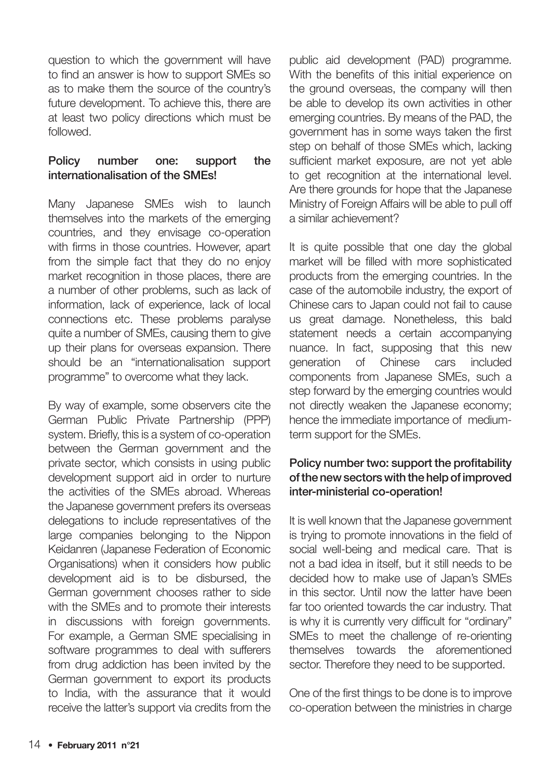question to which the government will have to find an answer is how to support SMEs so as to make them the source of the country's future development. To achieve this, there are at least two policy directions which must be followed.

#### Policy number one: support the internationalisation of the SMEs!

Many Japanese SMEs wish to launch themselves into the markets of the emerging countries, and they envisage co-operation with firms in those countries. However, apart from the simple fact that they do no enjoy market recognition in those places, there are a number of other problems, such as lack of information, lack of experience, lack of local connections etc. These problems paralyse quite a number of SMEs, causing them to give up their plans for overseas expansion. There should be an "internationalisation support programme" to overcome what they lack.

By way of example, some observers cite the German Public Private Partnership (PPP) system. Briefly, this is a system of co-operation between the German government and the private sector, which consists in using public development support aid in order to nurture the activities of the SMEs abroad. Whereas the Japanese government prefers its overseas delegations to include representatives of the large companies belonging to the Nippon Keidanren (Japanese Federation of Economic Organisations) when it considers how public development aid is to be disbursed, the German government chooses rather to side with the SMEs and to promote their interests in discussions with foreign governments. For example, a German SME specialising in software programmes to deal with sufferers from drug addiction has been invited by the German government to export its products to India, with the assurance that it would receive the latter's support via credits from the

public aid development (PAD) programme. With the benefits of this initial experience on the ground overseas, the company will then be able to develop its own activities in other emerging countries. By means of the PAD, the government has in some ways taken the first step on behalf of those SMEs which, lacking sufficient market exposure, are not yet able to get recognition at the international level. Are there grounds for hope that the Japanese Ministry of Foreign Affairs will be able to pull off a similar achievement?

It is quite possible that one day the global market will be filled with more sophisticated products from the emerging countries. In the case of the automobile industry, the export of Chinese cars to Japan could not fail to cause us great damage. Nonetheless, this bald statement needs a certain accompanying nuance. In fact, supposing that this new generation of Chinese cars included components from Japanese SMEs, such a step forward by the emerging countries would not directly weaken the Japanese economy; hence the immediate importance of mediumterm support for the SMEs.

#### Policy number two: support the profitability of the new sectors with the help of improved inter-ministerial co-operation!

It is well known that the Japanese government is trying to promote innovations in the field of social well-being and medical care. That is not a bad idea in itself, but it still needs to be decided how to make use of Japan's SMEs in this sector. Until now the latter have been far too oriented towards the car industry. That is why it is currently very difficult for "ordinary" SMEs to meet the challenge of re-orienting themselves towards the aforementioned sector. Therefore they need to be supported.

One of the first things to be done is to improve co-operation between the ministries in charge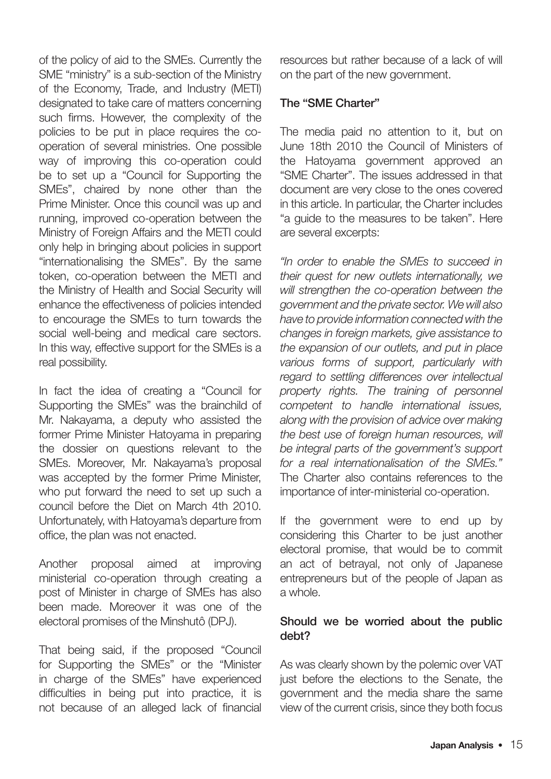of the policy of aid to the SMEs. Currently the SME "ministry" is a sub-section of the Ministry of the Economy, Trade, and Industry (METI) designated to take care of matters concerning such firms. However, the complexity of the policies to be put in place requires the cooperation of several ministries. One possible way of improving this co-operation could be to set up a "Council for Supporting the SMEs", chaired by none other than the Prime Minister. Once this council was up and running, improved co-operation between the Ministry of Foreign Affairs and the METI could only help in bringing about policies in support "internationalising the SMEs". By the same token, co-operation between the METI and the Ministry of Health and Social Security will enhance the effectiveness of policies intended to encourage the SMEs to turn towards the social well-being and medical care sectors. In this way, effective support for the SMEs is a real possibility.

In fact the idea of creating a "Council for Supporting the SMEs" was the brainchild of Mr. Nakayama, a deputy who assisted the former Prime Minister Hatoyama in preparing the dossier on questions relevant to the SMEs. Moreover, Mr. Nakayama's proposal was accepted by the former Prime Minister, who put forward the need to set up such a council before the Diet on March 4th 2010. Unfortunately, with Hatoyama's departure from office, the plan was not enacted.

Another proposal aimed at improving ministerial co-operation through creating a post of Minister in charge of SMEs has also been made. Moreover it was one of the electoral promises of the Minshutô (DPJ).

That being said, if the proposed "Council for Supporting the SMEs" or the "Minister in charge of the SMEs" have experienced difficulties in being put into practice, it is not because of an alleged lack of financial

resources but rather because of a lack of will on the part of the new government.

#### The "SME Charter"

The media paid no attention to it, but on June 18th 2010 the Council of Ministers of the Hatoyama government approved an "SME Charter". The issues addressed in that document are very close to the ones covered in this article. In particular, the Charter includes "a guide to the measures to be taken". Here are several excerpts:

"In order to enable the SMEs to succeed in their quest for new outlets internationally, we will strengthen the co-operation between the government and the private sector. We will also have to provide information connected with the changes in foreign markets, give assistance to the expansion of our outlets, and put in place various forms of support, particularly with regard to settling differences over intellectual property rights. The training of personnel competent to handle international issues, along with the provision of advice over making the best use of foreign human resources, will be integral parts of the government's support for a real internationalisation of the SMEs." The Charter also contains references to the importance of inter-ministerial co-operation.

If the government were to end up by considering this Charter to be just another electoral promise, that would be to commit an act of betrayal, not only of Japanese entrepreneurs but of the people of Japan as a whole.

#### Should we be worried about the public debt?

As was clearly shown by the polemic over VAT just before the elections to the Senate, the government and the media share the same view of the current crisis, since they both focus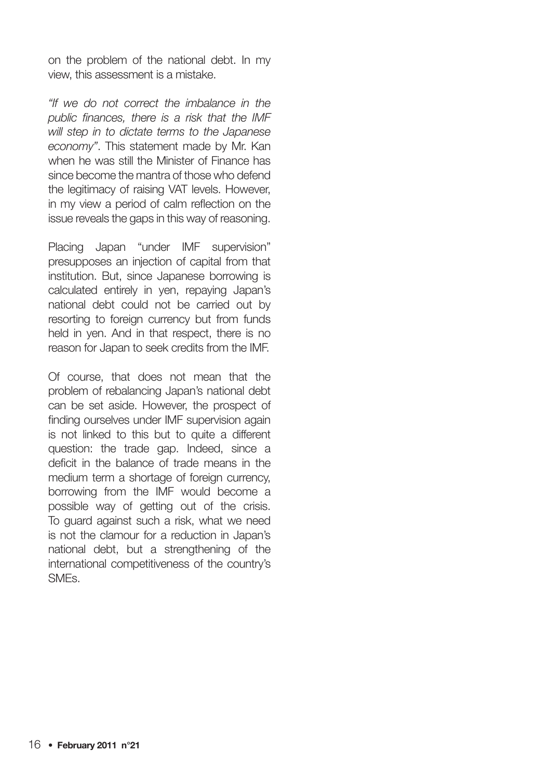on the problem of the national debt. In my view, this assessment is a mistake.

"If we do not correct the imbalance in the public finances, there is a risk that the IMF will step in to dictate terms to the Japanese economy". This statement made by Mr. Kan when he was still the Minister of Finance has since become the mantra of those who defend the legitimacy of raising VAT levels. However, in my view a period of calm reflection on the issue reveals the gaps in this way of reasoning.

Placing Japan "under IMF supervision" presupposes an injection of capital from that institution. But, since Japanese borrowing is calculated entirely in yen, repaying Japan's national debt could not be carried out by resorting to foreign currency but from funds held in yen. And in that respect, there is no reason for Japan to seek credits from the IMF.

Of course, that does not mean that the problem of rebalancing Japan's national debt can be set aside. However, the prospect of finding ourselves under IMF supervision again is not linked to this but to quite a different question: the trade gap. Indeed, since a deficit in the balance of trade means in the medium term a shortage of foreign currency. borrowing from the IMF would become a possible way of getting out of the crisis. To guard against such a risk, what we need is not the clamour for a reduction in Japan's national debt, but a strengthening of the international competitiveness of the country's SMEs.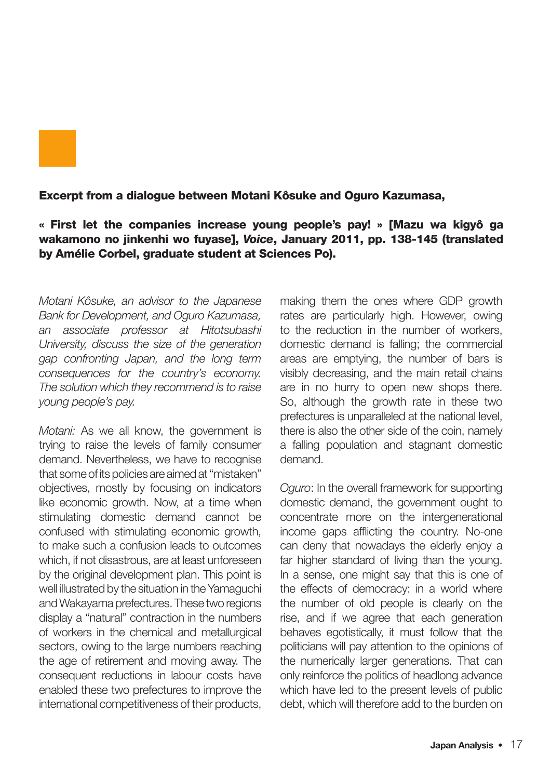

#### Excerpt from a dialogue between Motani Kôsuke and Oguro Kazumasa,

#### « First let the companies increase young people's pay! » [Mazu wa kigyô ga wakamono no jinkenhi wo fuyase], Voice, January 2011, pp. 138-145 (translated by Amélie Corbel, graduate student at Sciences Po).

Motani Kôsuke, an advisor to the Japanese Bank for Development, and Oguro Kazumasa, an associate professor at Hitotsubashi University, discuss the size of the generation gap confronting Japan, and the long term consequences for the country's economy. The solution which they recommend is to raise young people's pay.

Motani: As we all know, the government is trying to raise the levels of family consumer demand. Nevertheless, we have to recognise that some of its policies are aimed at "mistaken" objectives, mostly by focusing on indicators like economic growth. Now, at a time when stimulating domestic demand cannot be confused with stimulating economic growth, to make such a confusion leads to outcomes which, if not disastrous, are at least unforeseen by the original development plan. This point is well illustrated by the situation in the Yamaguchi and Wakayama prefectures. These two regions display a "natural" contraction in the numbers of workers in the chemical and metallurgical sectors, owing to the large numbers reaching the age of retirement and moving away. The consequent reductions in labour costs have enabled these two prefectures to improve the international competitiveness of their products,

making them the ones where GDP growth rates are particularly high. However, owing to the reduction in the number of workers, domestic demand is falling; the commercial areas are emptying, the number of bars is visibly decreasing, and the main retail chains are in no hurry to open new shops there. So, although the growth rate in these two prefectures is unparalleled at the national level, there is also the other side of the coin, namely a falling population and stagnant domestic demand.

Oguro: In the overall framework for supporting domestic demand, the government ought to concentrate more on the intergenerational income gaps afflicting the country. No-one can deny that nowadays the elderly enjoy a far higher standard of living than the young. In a sense, one might say that this is one of the effects of democracy: in a world where the number of old people is clearly on the rise, and if we agree that each generation behaves egotistically, it must follow that the politicians will pay attention to the opinions of the numerically larger generations. That can only reinforce the politics of headlong advance which have led to the present levels of public debt, which will therefore add to the burden on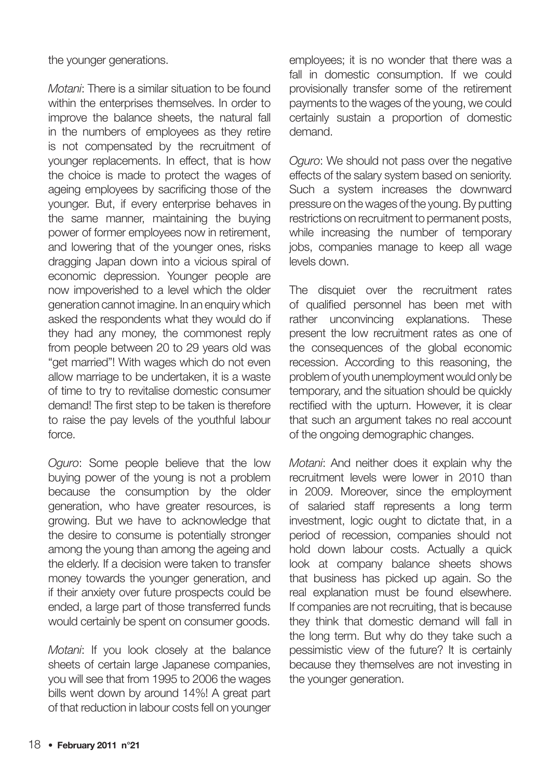the younger generations.

Motani: There is a similar situation to be found within the enterprises themselves. In order to improve the balance sheets, the natural fall in the numbers of employees as they retire is not compensated by the recruitment of younger replacements. In effect, that is how the choice is made to protect the wages of ageing employees by sacrificing those of the younger. But, if every enterprise behaves in the same manner, maintaining the buying power of former employees now in retirement, and lowering that of the younger ones, risks dragging Japan down into a vicious spiral of economic depression. Younger people are now impoverished to a level which the older generation cannot imagine. In an enquiry which asked the respondents what they would do if they had any money, the commonest reply from people between 20 to 29 years old was "get married"! With wages which do not even allow marriage to be undertaken, it is a waste of time to try to revitalise domestic consumer demand! The first step to be taken is therefore to raise the pay levels of the youthful labour force.

Oguro: Some people believe that the low buying power of the young is not a problem because the consumption by the older generation, who have greater resources, is growing. But we have to acknowledge that the desire to consume is potentially stronger among the young than among the ageing and the elderly. If a decision were taken to transfer money towards the younger generation, and if their anxiety over future prospects could be ended, a large part of those transferred funds would certainly be spent on consumer goods.

Motani: If you look closely at the balance sheets of certain large Japanese companies, you will see that from 1995 to 2006 the wages bills went down by around 14%! A great part of that reduction in labour costs fell on younger

employees; it is no wonder that there was a fall in domestic consumption. If we could provisionally transfer some of the retirement payments to the wages of the young, we could certainly sustain a proportion of domestic demand.

Oguro: We should not pass over the negative effects of the salary system based on seniority. Such a system increases the downward pressure on the wages of the young. By putting restrictions on recruitment to permanent posts, while increasing the number of temporary jobs, companies manage to keep all wage levels down.

The disquiet over the recruitment rates of qualified personnel has been met with rather unconvincing explanations. These present the low recruitment rates as one of the consequences of the global economic recession. According to this reasoning, the problem of youth unemployment would only be temporary, and the situation should be quickly rectified with the upturn. However, it is clear that such an argument takes no real account of the ongoing demographic changes.

Motani: And neither does it explain why the recruitment levels were lower in 2010 than in 2009. Moreover, since the employment of salaried staff represents a long term investment, logic ought to dictate that, in a period of recession, companies should not hold down labour costs. Actually a quick look at company balance sheets shows that business has picked up again. So the real explanation must be found elsewhere. If companies are not recruiting, that is because they think that domestic demand will fall in the long term. But why do they take such a pessimistic view of the future? It is certainly because they themselves are not investing in the younger generation.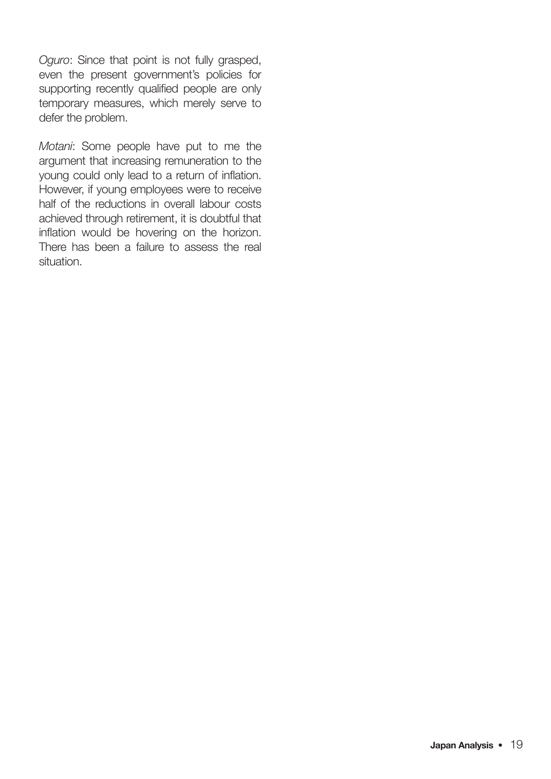Oguro: Since that point is not fully grasped, even the present government's policies for supporting recently qualified people are only temporary measures, which merely serve to defer the problem.

Motani: Some people have put to me the argument that increasing remuneration to the young could only lead to a return of inflation. However, if young employees were to receive half of the reductions in overall labour costs achieved through retirement, it is doubtful that inflation would be hovering on the horizon. There has been a failure to assess the real situation.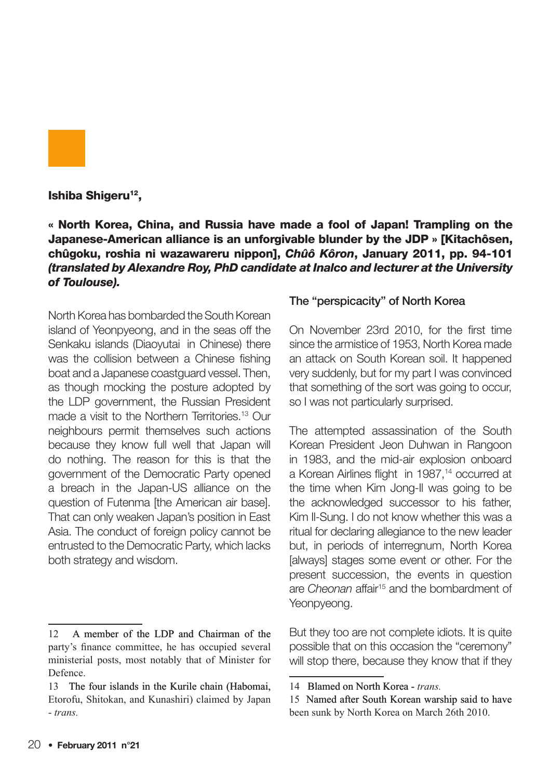

#### Ishiba Shigeru<sup>12</sup>,

« North Korea, China, and Russia have made a fool of Japan! Trampling on the Japanese-American alliance is an unforgivable blunder by the JDP » [Kitachôsen, chûgoku, roshia ni wazawareru nippon], Chûô Kôron, January 2011, pp. 94-101 (translated by Alexandre Roy, PhD candidate at Inalco and lecturer at the University of Toulouse).

North Korea has bombarded the South Korean island of Yeonpyeong, and in the seas off the Senkaku islands (Diaovutai in Chinese) there was the collision between a Chinese fishing boat and a Japanese coastguard vessel. Then, as though mocking the posture adopted by the LDP government, the Russian President made a visit to the Northern Territories.<sup>13</sup> Our neighbours permit themselves such actions because they know full well that Japan will do nothing. The reason for this is that the government of the Democratic Party opened a breach in the Japan-US alliance on the question of Futenma [the American air base]. That can only weaken Japan's position in East Asia. The conduct of foreign policy cannot be entrusted to the Democratic Party, which lacks both strategy and wisdom.

#### The "perspicacity" of North Korea

On November 23rd 2010, for the first time since the armistice of 1953, North Korea made an attack on South Korean soil. It happened very suddenly, but for my part I was convinced that something of the sort was going to occur, so I was not particularly surprised.

The attempted assassination of the South Korean President Jeon Duhwan in Rangoon in 1983, and the mid-air explosion onboard a Korean Airlines flight in 1987,<sup>14</sup> occurred at the time when Kim Jong-Il was going to be the acknowledged successor to his father, Kim Il-Sung. I do not know whether this was a ritual for declaring allegiance to the new leader but, in periods of interregnum, North Korea [always] stages some event or other. For the present succession, the events in question are Cheonan affair<sup>15</sup> and the bombardment of Yeonpyeong.

But they too are not complete idiots. It is quite possible that on this occasion the "ceremony" will stop there, because they know that if they

A member of the LDP and Chairman of the party's finance committee, he has occupied several ministerial posts, most notably that of Minister for Defence.

<sup>13</sup> The four islands in the Kurile chain (Habomai, Etorofu, Shitokan, and Kunashiri) claimed by Japan - *trans.*

<sup>14</sup> Blamed on North Korea - trans.

<sup>15</sup> Named after South Korean warship said to have been sunk by North Korea on March 26th 2010.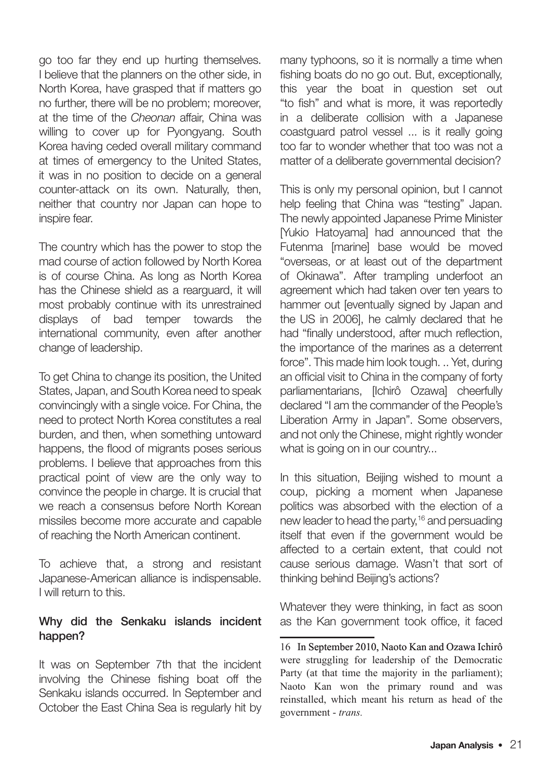go too far they end up hurting themselves. I believe that the planners on the other side, in North Korea, have grasped that if matters go no further, there will be no problem; moreover, at the time of the Cheonan affair, China was willing to cover up for Pyongyang. South Korea having ceded overall military command at times of emergency to the United States, it was in no position to decide on a general counter-attack on its own. Naturally, then, neither that country nor Japan can hope to inspire fear.

The country which has the power to stop the mad course of action followed by North Korea is of course China. As long as North Korea has the Chinese shield as a rearguard, it will most probably continue with its unrestrained displays of bad temper towards the international community, even after another change of leadership.

To get China to change its position, the United States, Japan, and South Korea need to speak convincingly with a single voice. For China, the need to protect North Korea constitutes a real burden, and then, when something untoward happens, the flood of migrants poses serious problems. I believe that approaches from this practical point of view are the only way to convince the people in charge. It is crucial that we reach a consensus before North Korean missiles become more accurate and capable of reaching the North American continent.

To achieve that, a strong and resistant Japanese-American alliance is indispensable. I will return to this.

#### Why did the Senkaku islands incident happen?

It was on September 7th that the incident involving the Chinese fishing boat off the Senkaku islands occurred. In September and October the East China Sea is regularly hit by many typhoons, so it is normally a time when fishing boats do no go out. But, exceptionally, this year the boat in question set out "to fish" and what is more, it was reportedly in a deliberate collision with a Japanese coastguard patrol vessel ... is it really going too far to wonder whether that too was not a matter of a deliberate governmental decision?

This is only my personal opinion, but I cannot help feeling that China was "testing" Japan. The newly appointed Japanese Prime Minister [Yukio Hatoyama] had announced that the Futenma [marine] base would be moved "overseas, or at least out of the department of Okinawa". After trampling underfoot an agreement which had taken over ten years to hammer out [eventually signed by Japan and the US in 2006], he calmly declared that he had "finally understood, after much reflection, the importance of the marines as a deterrent force". This made him look tough. .. Yet, during an official visit to China in the company of forty parliamentarians, [Ichirô Ozawa] cheerfully declared "I am the commander of the People's Liberation Army in Japan". Some observers, and not only the Chinese, might rightly wonder what is going on in our country...

In this situation, Beijing wished to mount a coup, picking a moment when Japanese politics was absorbed with the election of a new leader to head the party,<sup>16</sup> and persuading itself that even if the government would be affected to a certain extent, that could not cause serious damage. Wasn't that sort of thinking behind Beijing's actions?

Whatever they were thinking, in fact as soon as the Kan government took office, it faced

<sup>16</sup> In September 2010, Naoto Kan and Ozawa Ichirô were struggling for leadership of the Democratic Party (at that time the majority in the parliament); Naoto Kan won the primary round and was reinstalled, which meant his return as head of the government - *trans.*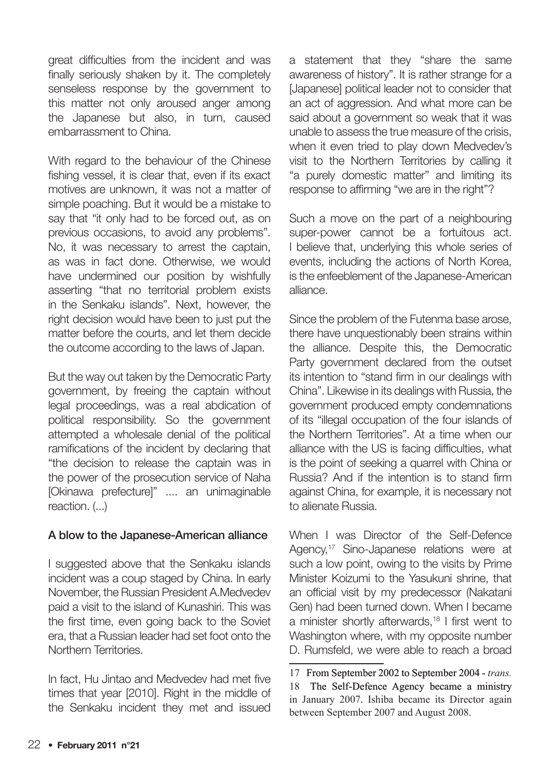great difficulties from the incident and was finally seriously shaken by it. The completely senseless response by the government to this matter not only aroused anger among the Japanese but also, in turn, caused embarrassment to China.

With regard to the behaviour of the Chinese fishing vessel, it is clear that, even if its exact motives are unknown, it was not a matter of simple poaching. But it would be a mistake to say that "it only had to be forced out, as on previous occasions, to avoid any problems". No, it was necessary to arrest the captain, as was in fact done. Otherwise, we would have undermined our position by wishfully asserting "that no territorial problem exists in the Senkaku islands". Next, however, the right decision would have been to just put the matter before the courts, and let them decide the outcome according to the laws of Japan.

But the way out taken by the Democratic Party government, by freeing the captain without legal proceedings, was a real abdication of political responsibility. So the government attempted a wholesale denial of the political ramifications of the incident by declaring that "the decision to release the captain was in the power of the prosecution service of Naha [Okinawa prefecture]" .... an unimaginable reaction. (...)

#### A blow to the Japanese-American alliance

I suggested above that the Senkaku islands incident was a coup staged by China. In early November, the Russian President A.Medvedev paid a visit to the island of Kunashiri. This was the first time, even going back to the Soviet era, that a Russian leader had set foot onto the Northern Territories.

In fact, Hu Jintao and Medvedev had met five times that year [2010]. Right in the middle of the Senkaku incident they met and issued a statement that they "share the same awareness of history". It is rather strange for a [Japanese] political leader not to consider that an act of aggression. And what more can be said about a government so weak that it was unable to assess the true measure of the crisis, when it even tried to play down Medvedev's visit to the Northern Territories by calling it "a purely domestic matter" and limiting its response to affirming "we are in the right"?

Such a move on the part of a neighbouring super-power cannot be a fortuitous act. I believe that, underlying this whole series of events, including the actions of North Korea, is the enfeeblement of the Japanese-American alliance.

Since the problem of the Futenma base arose, there have unquestionably been strains within the alliance. Despite this, the Democratic Party government declared from the outset its intention to "stand firm in our dealings with China". Likewise in its dealings with Russia, the government produced empty condemnations of its "illegal occupation of the four islands of the Northern Territories". At a time when our alliance with the US is facing difficulties, what is the point of seeking a quarrel with China or Russia? And if the intention is to stand firm against China, for example, it is necessary not to alienate Russia.

When I was Director of the Self-Defence Agency,<sup>17</sup> Sino-Japanese relations were at such a low point, owing to the visits by Prime Minister Koizumi to the Yasukuni shrine, that an official visit by my predecessor (Nakatani Gen) had been turned down. When I became a minister shortly afterwards,<sup>18</sup> I first went to Washington where, with my opposite number D. Rumsfeld, we were able to reach a broad

From September 2002 to September 2004 - *trans.* The Self-Defence Agency became a ministry in January 2007. Ishiba became its Director again between September 2007 and August 2008.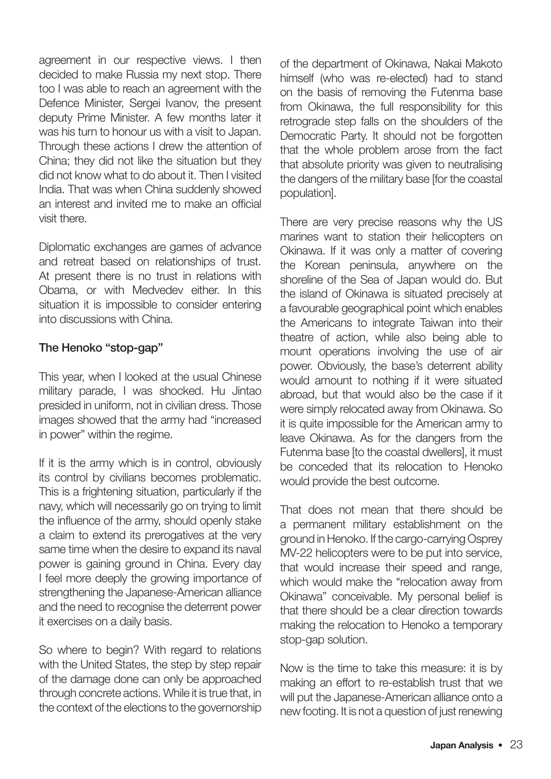agreement in our respective views. I then decided to make Russia my next stop. There too I was able to reach an agreement with the Defence Minister, Sergei Ivanov, the present deputy Prime Minister. A few months later it was his turn to honour us with a visit to Japan. Through these actions I drew the attention of China; they did not like the situation but they did not know what to do about it. Then I visited India. That was when China suddenly showed an interest and invited me to make an official visit there.

Diplomatic exchanges are games of advance and retreat based on relationships of trust. At present there is no trust in relations with Obama, or with Medvedev either. In this situation it is impossible to consider entering into discussions with China.

#### The Henoko "stop-gap"

This year, when I looked at the usual Chinese military parade, I was shocked. Hu Jintao presided in uniform, not in civilian dress. Those images showed that the army had "increased in power" within the regime.

If it is the army which is in control, obviously its control by civilians becomes problematic. This is a frightening situation, particularly if the navy, which will necessarily go on trying to limit the influence of the army, should openly stake a claim to extend its prerogatives at the very same time when the desire to expand its naval power is gaining ground in China. Every day I feel more deeply the growing importance of strengthening the Japanese-American alliance and the need to recognise the deterrent power it exercises on a daily basis.

So where to begin? With regard to relations with the United States, the step by step repair of the damage done can only be approached through concrete actions. While it is true that, in the context of the elections to the governorship

of the department of Okinawa, Nakai Makoto himself (who was re-elected) had to stand on the basis of removing the Futenma base from Okinawa, the full responsibility for this retrograde step falls on the shoulders of the Democratic Party. It should not be forgotten that the whole problem arose from the fact that absolute priority was given to neutralising the dangers of the military base [for the coastal] population].

There are very precise reasons why the US marines want to station their helicopters on Okinawa. If it was only a matter of covering the Korean peninsula, anywhere on the shoreline of the Sea of Japan would do. But the island of Okinawa is situated precisely at a favourable geographical point which enables the Americans to integrate Taiwan into their theatre of action, while also being able to mount operations involving the use of air power. Obviously, the base's deterrent ability would amount to nothing if it were situated abroad, but that would also be the case if it were simply relocated away from Okinawa. So it is quite impossible for the American army to leave Okinawa. As for the dangers from the Futenma base [to the coastal dwellers], it must be conceded that its relocation to Henoko would provide the best outcome.

That does not mean that there should be a permanent military establishment on the ground in Henoko. If the cargo-carrying Osprey MV-22 helicopters were to be put into service, that would increase their speed and range, which would make the "relocation away from Okinawa" conceivable. My personal belief is that there should be a clear direction towards making the relocation to Henoko a temporary stop-gap solution.

Now is the time to take this measure: it is by making an effort to re-establish trust that we will put the Japanese-American alliance onto a new footing. It is not a question of just renewing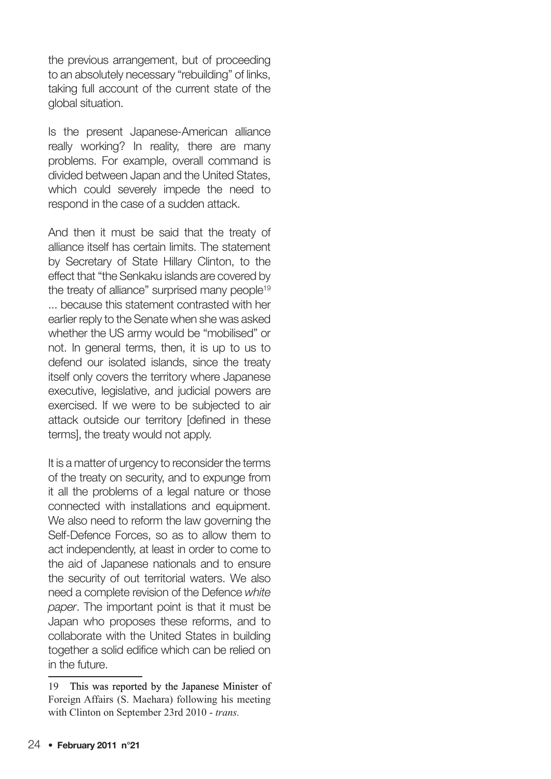the previous arrangement, but of proceeding to an absolutely necessary "rebuilding" of links, taking full account of the current state of the global situation.

Is the present Japanese-American alliance really working? In reality, there are many problems. For example, overall command is divided between Japan and the United States, which could severely impede the need to respond in the case of a sudden attack.

And then it must be said that the treaty of alliance itself has certain limits. The statement by Secretary of State Hillary Clinton, to the effect that "the Senkaku islands are covered by the treaty of alliance" surprised many people<sup>19</sup> ... because this statement contrasted with her earlier reply to the Senate when she was asked whether the US army would be "mobilised" or not. In general terms, then, it is up to us to defend our isolated islands, since the treaty itself only covers the territory where Japanese executive, legislative, and judicial powers are exercised. If we were to be subjected to air attack outside our territory [defined in these terms], the treaty would not apply.

It is a matter of urgency to reconsider the terms of the treaty on security, and to expunge from it all the problems of a legal nature or those connected with installations and equipment. We also need to reform the law governing the Self-Defence Forces, so as to allow them to act independently, at least in order to come to the aid of Japanese nationals and to ensure the security of out territorial waters. We also need a complete revision of the Defence white paper. The important point is that it must be Japan who proposes these reforms, and to collaborate with the United States in building together a solid edifice which can be relied on in the future.

<sup>19</sup> This was reported by the Japanese Minister of Foreign Affairs (S. Maehara) following his meeting with Clinton on September 23rd 2010 - *trans.*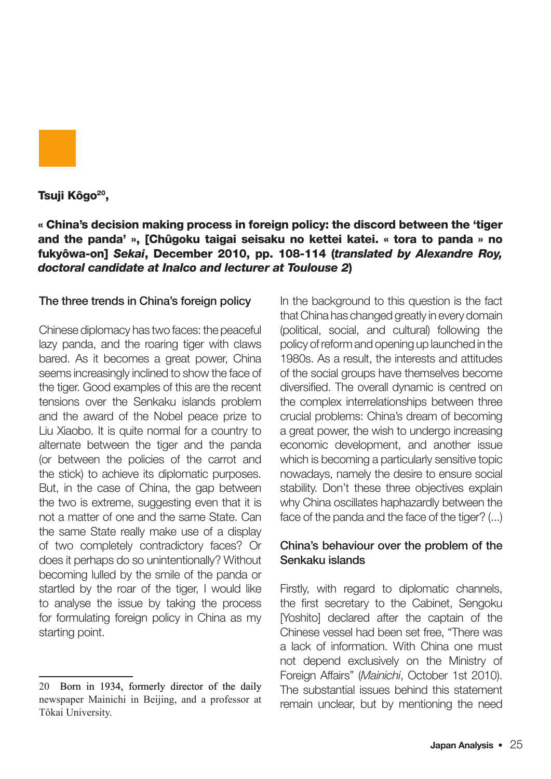

Tsuji Kôgo<sup>20</sup>,

« China's decision making process in foreign policy: the discord between the 'tiger and the panda' », [Chûgoku taigai seisaku no kettei katei. « tora to panda » no fukyôwa-on] Sekai, December 2010, pp. 108-114 (translated by Alexandre Roy, doctoral candidate at Inalco and lecturer at Toulouse 2)

#### The three trends in China's foreign policy

Chinese diplomacy has two faces: the peaceful lazy panda, and the roaring tiger with claws bared. As it becomes a great power, China seems increasingly inclined to show the face of the tiger. Good examples of this are the recent tensions over the Senkaku islands problem and the award of the Nobel peace prize to Liu Xiaobo. It is quite normal for a country to alternate between the tiger and the panda (or between the policies of the carrot and the stick) to achieve its diplomatic purposes. But, in the case of China, the gap between the two is extreme, suggesting even that it is not a matter of one and the same State. Can the same State really make use of a display of two completely contradictory faces? Or does it perhaps do so unintentionally? Without becoming lulled by the smile of the panda or startled by the roar of the tiger, I would like to analyse the issue by taking the process for formulating foreign policy in China as my starting point.

In the background to this question is the fact that China has changed greatly in every domain (political, social, and cultural) following the policy of reform and opening up launched in the 1980s. As a result, the interests and attitudes of the social groups have themselves become diversified. The overall dynamic is centred on the complex interrelationships between three crucial problems: China's dream of becoming a great power, the wish to undergo increasing economic development, and another issue which is becoming a particularly sensitive topic nowadays, namely the desire to ensure social stability. Don't these three objectives explain why China oscillates haphazardly between the face of the panda and the face of the tiger? (...)

#### China's behaviour over the problem of the Senkaku islands

Firstly, with regard to diplomatic channels, the first secretary to the Cabinet, Sengoku [Yoshito] declared after the captain of the Chinese vessel had been set free, "There was a lack of information. With China one must not depend exclusively on the Ministry of Foreign Affairs" (Mainichi, October 1st 2010). The substantial issues behind this statement remain unclear, but by mentioning the need

<sup>20</sup> Born in 1934, formerly director of the daily newspaper Mainichi in Beijing, and a professor at Tôkai University.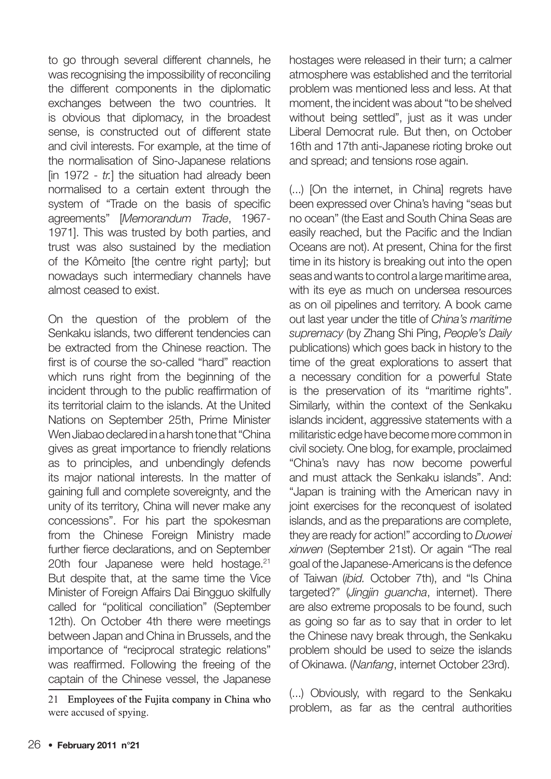to go through several different channels, he was recognising the impossibility of reconciling the different components in the diplomatic exchanges between the two countries. It is obvious that diplomacy, in the broadest sense, is constructed out of different state and civil interests. For example, at the time of the normalisation of Sino-Japanese relations  $\lim_{t \to \infty} 1972 - \text{tr.}$  the situation had already been normalised to a certain extent through the system of "Trade on the basis of specific agreements" [Memorandum Trade, 1967- 1971]. This was trusted by both parties, and trust was also sustained by the mediation of the Kômeito [the centre right party]; but nowadays such intermediary channels have almost ceased to exist.

On the question of the problem of the Senkaku islands, two different tendencies can be extracted from the Chinese reaction. The first is of course the so-called "hard" reaction which runs right from the beginning of the incident through to the public reaffirmation of its territorial claim to the islands. At the United Nations on September 25th, Prime Minister Wen Jiabao declared in a harsh tone that "China gives as great importance to friendly relations as to principles, and unbendingly defends its major national interests. In the matter of gaining full and complete sovereignty, and the unity of its territory, China will never make any concessions". For his part the spokesman from the Chinese Foreign Ministry made further fierce declarations, and on September 20th four Japanese were held hostage.<sup>21</sup> But despite that, at the same time the Vice Minister of Foreign Affairs Dai Bingguo skilfully called for "political conciliation" (September 12th). On October 4th there were meetings between Japan and China in Brussels, and the importance of "reciprocal strategic relations" was reaffirmed. Following the freeing of the captain of the Chinese vessel, the Japanese

hostages were released in their turn; a calmer atmosphere was established and the territorial problem was mentioned less and less. At that moment, the incident was about "to be shelved without being settled", just as it was under Liberal Democrat rule. But then, on October 16th and 17th anti-Japanese rioting broke out and spread; and tensions rose again.

(...) [On the internet, in China] regrets have been expressed over China's having "seas but no ocean" (the East and South China Seas are easily reached, but the Pacific and the Indian Oceans are not). At present, China for the first time in its history is breaking out into the open seas and wants to control a large maritime area, with its eye as much on undersea resources as on oil pipelines and territory. A book came out last year under the title of China's maritime supremacy (by Zhang Shi Ping, People's Daily publications) which goes back in history to the time of the great explorations to assert that a necessary condition for a powerful State is the preservation of its "maritime rights". Similarly, within the context of the Senkaku islands incident, aggressive statements with a militaristic edge have become more common in civil society. One blog, for example, proclaimed "China's navy has now become powerful and must attack the Senkaku islands". And: "Japan is training with the American navy in joint exercises for the reconquest of isolated islands, and as the preparations are complete, they are ready for action!" according to Duowei xinwen (September 21st). Or again "The real goal of the Japanese-Americans is the defence of Taiwan (ibid. October 7th), and "Is China targeted?" (Jingjin guancha, internet). There are also extreme proposals to be found, such as going so far as to say that in order to let the Chinese navy break through, the Senkaku problem should be used to seize the islands of Okinawa. (Nanfang, internet October 23rd).

(...) Obviously, with regard to the Senkaku problem, as far as the central authorities

Employees of the Fujita company in China who were accused of spying.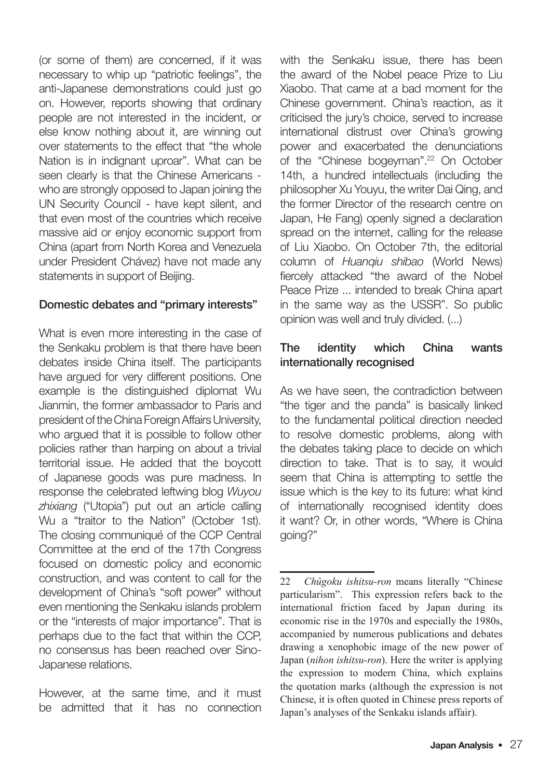(or some of them) are concerned, if it was necessary to whip up "patriotic feelings", the anti-Japanese demonstrations could just go on. However, reports showing that ordinary people are not interested in the incident, or else know nothing about it, are winning out over statements to the effect that "the whole Nation is in indignant uproar". What can be seen clearly is that the Chinese Americans who are strongly opposed to Japan joining the UN Security Council - have kept silent, and that even most of the countries which receive massive aid or enjoy economic support from China (apart from North Korea and Venezuela under President Chávez) have not made any statements in support of Beijing.

#### Domestic debates and "primary interests"

What is even more interesting in the case of the Senkaku problem is that there have been debates inside China itself. The participants have argued for very different positions. One example is the distinguished diplomat Wu Jianmin, the former ambassador to Paris and president of the China Foreign Affairs University, who argued that it is possible to follow other policies rather than harping on about a trivial territorial issue. He added that the boycott of Japanese goods was pure madness. In response the celebrated leftwing blog Wuyou zhixiang ("Utopia") put out an article calling Wu a "traitor to the Nation" (October 1st). The closing communiqué of the CCP Central Committee at the end of the 17th Congress focused on domestic policy and economic construction, and was content to call for the development of China's "soft power" without even mentioning the Senkaku islands problem or the "interests of major importance". That is perhaps due to the fact that within the CCP, no consensus has been reached over Sino-Japanese relations.

However, at the same time, and it must be admitted that it has no connection with the Senkaku issue, there has been the award of the Nobel peace Prize to Liu Xiaobo. That came at a bad moment for the Chinese government. China's reaction, as it criticised the jury's choice, served to increase international distrust over China's growing power and exacerbated the denunciations of the "Chinese bogeyman".<sup>22</sup> On October 14th, a hundred intellectuals (including the philosopher Xu Youyu, the writer Dai Qing, and the former Director of the research centre on Japan, He Fang) openly signed a declaration spread on the internet, calling for the release of Liu Xiaobo. On October 7th, the editorial column of Huanqiu shibao (World News) fiercely attacked "the award of the Nobel Peace Prize ... intended to break China apart in the same way as the USSR". So public opinion was well and truly divided. (...)

#### The identity which China wants internationally recognised

As we have seen, the contradiction between "the tiger and the panda" is basically linked to the fundamental political direction needed to resolve domestic problems, along with the debates taking place to decide on which direction to take. That is to say, it would seem that China is attempting to settle the issue which is the key to its future: what kind of internationally recognised identity does it want? Or, in other words, "Where is China going?"

<sup>22</sup> *Chûgoku ishitsu-ron* means literally "Chinese particularism". This expression refers back to the international friction faced by Japan during its economic rise in the 1970s and especially the 1980s, accompanied by numerous publications and debates drawing a xenophobic image of the new power of Japan (*nihon ishitsu-ron*). Here the writer is applying the expression to modern China, which explains the quotation marks (although the expression is not Chinese, it is often quoted in Chinese press reports of Japan's analyses of the Senkaku islands affair).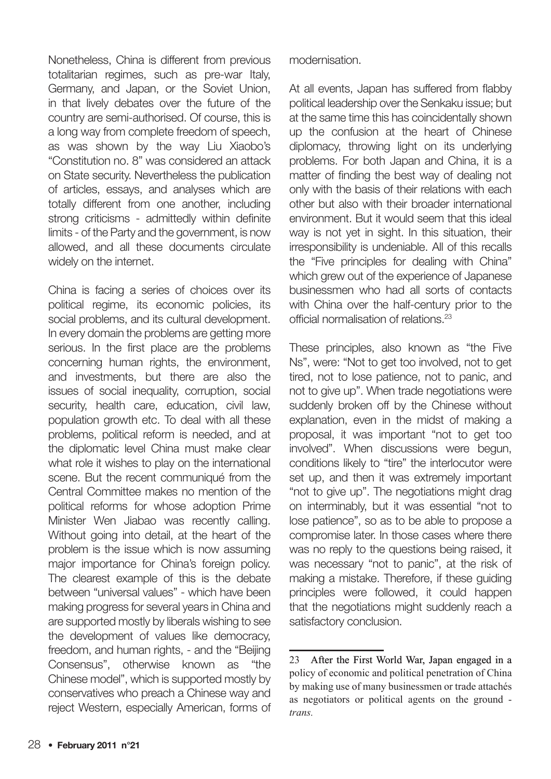Nonetheless, China is different from previous totalitarian regimes, such as pre-war Italy, Germany, and Japan, or the Soviet Union, in that lively debates over the future of the country are semi-authorised. Of course, this is a long way from complete freedom of speech, as was shown by the way Liu Xiaobo's "Constitution no. 8" was considered an attack on State security. Nevertheless the publication of articles, essays, and analyses which are totally different from one another, including strong criticisms - admittedly within definite limits - of the Party and the government, is now allowed, and all these documents circulate widely on the internet.

China is facing a series of choices over its political regime, its economic policies, its social problems, and its cultural development. In every domain the problems are getting more serious. In the first place are the problems concerning human rights, the environment, and investments, but there are also the issues of social inequality, corruption, social security, health care, education, civil law, population growth etc. To deal with all these problems, political reform is needed, and at the diplomatic level China must make clear what role it wishes to play on the international scene. But the recent communiqué from the Central Committee makes no mention of the political reforms for whose adoption Prime Minister Wen Jiabao was recently calling. Without going into detail, at the heart of the problem is the issue which is now assuming major importance for China's foreign policy. The clearest example of this is the debate between "universal values" - which have been making progress for several years in China and are supported mostly by liberals wishing to see the development of values like democracy, freedom, and human rights, - and the "Beijing Consensus", otherwise known as "the Chinese model", which is supported mostly by conservatives who preach a Chinese way and reject Western, especially American, forms of modernisation.

At all events, Japan has suffered from flabby political leadership over the Senkaku issue; but at the same time this has coincidentally shown up the confusion at the heart of Chinese diplomacy, throwing light on its underlying problems. For both Japan and China, it is a matter of finding the best way of dealing not only with the basis of their relations with each other but also with their broader international environment. But it would seem that this ideal way is not yet in sight. In this situation, their irresponsibility is undeniable. All of this recalls the "Five principles for dealing with China" which grew out of the experience of Japanese businessmen who had all sorts of contacts with China over the half-century prior to the official normalisation of relations.<sup>23</sup>

These principles, also known as "the Five Ns", were: "Not to get too involved, not to get tired, not to lose patience, not to panic, and not to give up". When trade negotiations were suddenly broken off by the Chinese without explanation, even in the midst of making a proposal, it was important "not to get too involved". When discussions were begun, conditions likely to "tire" the interlocutor were set up, and then it was extremely important "not to give up". The negotiations might drag on interminably, but it was essential "not to lose patience", so as to be able to propose a compromise later. In those cases where there was no reply to the questions being raised, it was necessary "not to panic", at the risk of making a mistake. Therefore, if these guiding principles were followed, it could happen that the negotiations might suddenly reach a satisfactory conclusion.

 After the First World War, Japan engaged in a policy of economic and political penetration of China by making use of many businessmen or trade attachés as negotiators or political agents on the ground *trans.*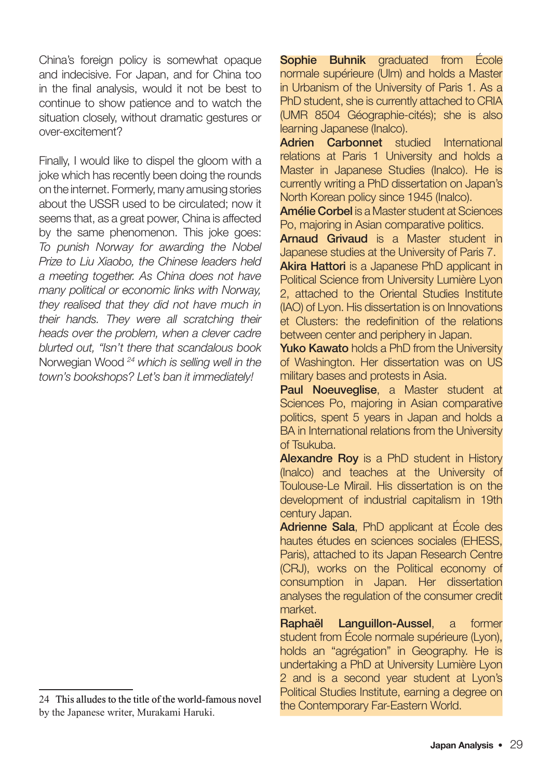China's foreign policy is somewhat opaque and indecisive. For Japan, and for China too in the final analysis, would it not be best to continue to show patience and to watch the situation closely, without dramatic gestures or over-excitement?

Finally, I would like to dispel the gloom with a joke which has recently been doing the rounds on the internet. Formerly, many amusing stories about the USSR used to be circulated; now it seems that, as a great power. China is affected by the same phenomenon. This joke goes: To punish Norway for awarding the Nobel Prize to Liu Xiaobo, the Chinese leaders held a meeting together. As China does not have many political or economic links with Norway, they realised that they did not have much in their hands. They were all scratching their heads over the problem, when a clever cadre blurted out, "Isn't there that scandalous book Norwegian Wood <sup>24</sup> which is selling well in the town's bookshops? Let's ban it immediately!

Sophie Buhnik graduated from École normale supérieure (Ulm) and holds a Master in Urbanism of the University of Paris 1. As a PhD student, she is currently attached to CRIA (UMR 8504 Géographie-cités); she is also learning Japanese (Inalco).

Adrien Carbonnet studied International relations at Paris 1 University and holds a Master in Japanese Studies (Inalco). He is currently writing a PhD dissertation on Japan's North Korean policy since 1945 (Inalco).

Amélie Corbel is a Master student at Sciences Po, majoring in Asian comparative politics.

Arnaud Grivaud is a Master student in Japanese studies at the University of Paris 7.

Akira Hattori is a Japanese PhD applicant in Political Science from University Lumière Lyon 2, attached to the Oriental Studies Institute (IAO) of Lyon. His dissertation is on Innovations et Clusters: the redefinition of the relations between center and periphery in Japan.

Yuko Kawato holds a PhD from the University of Washington. Her dissertation was on US military bases and protests in Asia.

Paul Noeuveglise, a Master student at Sciences Po, majoring in Asian comparative politics, spent 5 years in Japan and holds a BA in International relations from the University of Tsukuba.

Alexandre Roy is a PhD student in History (Inalco) and teaches at the University of Toulouse-Le Mirail. His dissertation is on the development of industrial capitalism in 19th century Japan.

Adrienne Sala, PhD applicant at École des hautes études en sciences sociales (EHESS, Paris), attached to its Japan Research Centre (CRJ), works on the Political economy of consumption in Japan. Her dissertation analyses the regulation of the consumer credit market.

Raphaël Languillon-Aussel, a former student from École normale supérieure (Lyon), holds an "agrégation" in Geography. He is undertaking a PhD at University Lumière Lyon 2 and is a second year student at Lyon's Political Studies Institute, earning a degree on the Contemporary Far-Eastern World.

<sup>24</sup> This alludes to the title of the world-famous novel by the Japanese writer, Murakami Haruki.